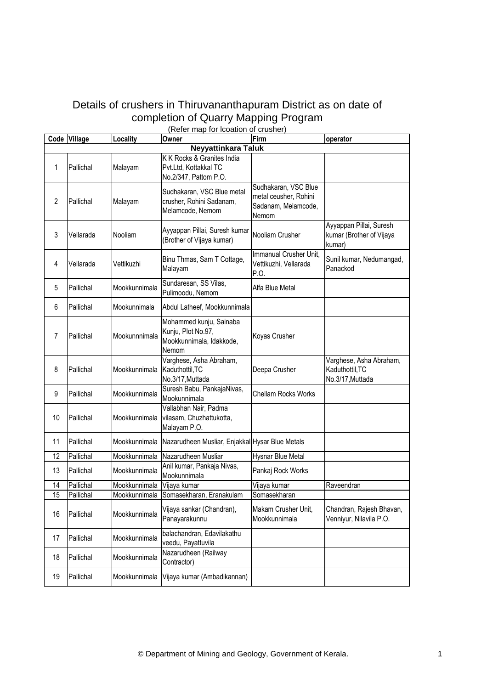## Details of crushers in Thiruvananthapuram District as on date of completion of Quarry Mapping Program

| (Refer map for Icoation of crusher) |                            |               |                                                                                    |                                                                               |                                                                |  |  |  |
|-------------------------------------|----------------------------|---------------|------------------------------------------------------------------------------------|-------------------------------------------------------------------------------|----------------------------------------------------------------|--|--|--|
|                                     | Code Village               | Locality      | Owner                                                                              | Firm                                                                          | operator                                                       |  |  |  |
|                                     | <b>Neyyattinkara Taluk</b> |               |                                                                                    |                                                                               |                                                                |  |  |  |
| 1                                   | Pallichal                  | Malayam       | K K Rocks & Granites India<br>Pvt.Ltd, Kottakkal TC<br>No.2/347, Pattom P.O.       |                                                                               |                                                                |  |  |  |
| $\overline{2}$                      | Pallichal                  | Malayam       | Sudhakaran, VSC Blue metal<br>crusher, Rohini Sadanam,<br>Melamcode, Nemom         | Sudhakaran, VSC Blue<br>metal ceusher, Rohini<br>Sadanam, Melamcode,<br>Nemom |                                                                |  |  |  |
| 3                                   | Vellarada                  | Nooliam       | Ayyappan Pillai, Suresh kumar<br>(Brother of Vijaya kumar)                         | Nooliam Crusher                                                               | Ayyappan Pillai, Suresh<br>kumar (Brother of Vijaya<br>kumar)  |  |  |  |
| 4                                   | Vellarada                  | Vettikuzhi    | Binu Thmas, Sam T Cottage,<br>Malayam                                              | Immanual Crusher Unit,<br>Vettikuzhi, Vellarada<br>P.O.                       | Sunil kumar, Nedumangad,<br>Panackod                           |  |  |  |
| 5                                   | Pallichal                  | Mookkunnimala | Sundaresan, SS Vilas,<br>Pulimoodu, Nemom                                          | Alfa Blue Metal                                                               |                                                                |  |  |  |
| 6                                   | Pallichal                  | Mookunnimala  | Abdul Latheef, Mookkunnimala                                                       |                                                                               |                                                                |  |  |  |
| $\overline{7}$                      | Pallichal                  | Mookunnnimala | Mohammed kunju, Sainaba<br>Kunju, Plot No.97,<br>Mookkunnimala, Idakkode,<br>Nemom | Koyas Crusher                                                                 |                                                                |  |  |  |
| 8                                   | Pallichal                  | Mookkunnimala | Varghese, Asha Abraham,<br>Kaduthottil, TC<br>No.3/17, Muttada                     | Deepa Crusher                                                                 | Varghese, Asha Abraham,<br>Kaduthottil, TC<br>No.3/17, Muttada |  |  |  |
| 9                                   | Pallichal                  | Mookkunnimala | Suresh Babu, PankajaNivas,<br>Mookunnimala                                         | <b>Chellam Rocks Works</b>                                                    |                                                                |  |  |  |
| 10                                  | Pallichal                  | Mookkunnimala | Vallabhan Nair, Padma<br>vilasam, Chuzhattukotta,<br>Malayam P.O.                  |                                                                               |                                                                |  |  |  |
| 11                                  | Pallichal                  | Mookkunnimala | Nazarudheen Musliar, Enjakkal Hysar Blue Metals                                    |                                                                               |                                                                |  |  |  |
| 12                                  | Pallichal                  | Mookkunnimala | Nazarudheen Musliar                                                                | Hysnar Blue Metal                                                             |                                                                |  |  |  |
| 13                                  | Pallichal                  | Mookkunnimala | Anil kumar, Pankaja Nivas,<br>Mookunnimala                                         | Pankaj Rock Works                                                             |                                                                |  |  |  |
| 14                                  | Pallichal                  | Mookkunnimala | Vijaya kumar                                                                       | Vijaya kumar                                                                  | Raveendran                                                     |  |  |  |
| $\overline{15}$                     | Pallichal                  | Mookkunnimala | Somasekharan, Eranakulam                                                           | Somasekharan                                                                  |                                                                |  |  |  |
| 16                                  | Pallichal                  | Mookkunnimala | Vijaya sankar (Chandran),<br>Panayarakunnu                                         | Makam Crusher Unit,<br>Mookkunnimala                                          | Chandran, Rajesh Bhavan,<br>Venniyur, Nilavila P.O.            |  |  |  |
| 17                                  | Pallichal                  | Mookkunnimala | balachandran, Edavilakathu<br>veedu, Payattuvila                                   |                                                                               |                                                                |  |  |  |
| 18                                  | Pallichal                  | Mookkunnimala | Nazarudheen (Railway<br>Contractor)                                                |                                                                               |                                                                |  |  |  |
| 19                                  | Pallichal                  | Mookkunnimala | Vijaya kumar (Ambadikannan)                                                        |                                                                               |                                                                |  |  |  |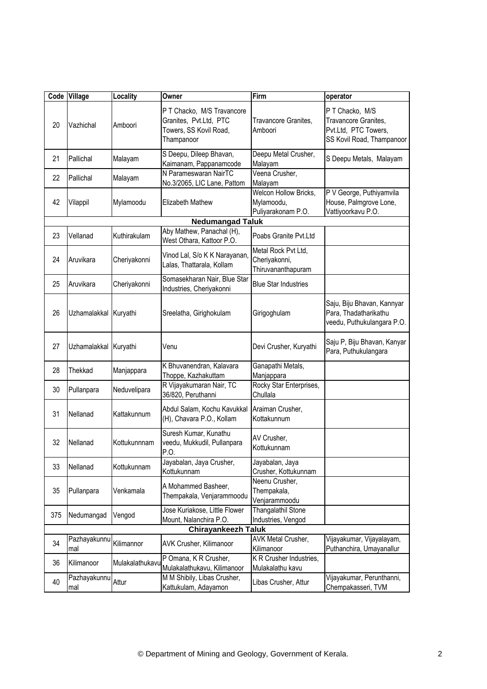|     | Code Village          | Locality        | Owner                                                                                        | Firm                                                       | operator                                                                                     |
|-----|-----------------------|-----------------|----------------------------------------------------------------------------------------------|------------------------------------------------------------|----------------------------------------------------------------------------------------------|
| 20  | Vazhichal             | Amboori         | P T Chacko, M/S Travancore<br>Granites, Pvt.Ltd, PTC<br>Towers, SS Kovil Road,<br>Thampanoor | Travancore Granites,<br>Amboori                            | P T Chacko, M/S<br>Travancore Granites,<br>Pvt.Ltd, PTC Towers,<br>SS Kovil Road, Thampanoor |
| 21  | Pallichal             | Malayam         | S Deepu, Dileep Bhavan,<br>Kaimanam, Pappanamcode                                            | Deepu Metal Crusher,<br>Malayam                            | S Deepu Metals, Malayam                                                                      |
| 22  | Pallichal             | Malayam         | N Parameswaran NairTC<br>No.3/2065, LIC Lane, Pattom                                         | Veena Crusher,<br>Malayam                                  |                                                                                              |
| 42  | Vilappil              | Mylamoodu       | Elizabeth Mathew                                                                             | Welcon Hollow Bricks,<br>Mylamoodu,<br>Puliyarakonam P.O.  | P V George, Puthiyamvila<br>House, Palmgrove Lone,<br>Vattiyoorkavu P.O.                     |
|     |                       |                 | <b>Nedumangad Taluk</b>                                                                      |                                                            |                                                                                              |
| 23  | Vellanad              | Kuthirakulam    | Aby Mathew, Panachal (H),<br>West Othara, Kattoor P.O.                                       | Poabs Granite Pyt.Ltd                                      |                                                                                              |
| 24  | Aruvikara             | Cheriyakonni    | Vinod Lal, S/o K K Narayanan,<br>Lalas, Thattarala, Kollam                                   | Metal Rock Pvt Ltd,<br>Cheriyakonni,<br>Thiruvananthapuram |                                                                                              |
| 25  | Aruvikara             | Cheriyakonni    | Somasekharan Nair, Blue Star<br>Industries, Cheriyakonni                                     | <b>Blue Star Industries</b>                                |                                                                                              |
| 26  | Uzhamalakkal Kuryathi |                 | Sreelatha, Girighokulam                                                                      | Girigoghulam                                               | Saju, Biju Bhavan, Kannyar<br>Para, Thadatharikathu<br>veedu, Puthukulangara P.O.            |
| 27  | Uzhamalakkal Kuryathi |                 | Venu                                                                                         | Devi Crusher, Kuryathi                                     | Saju P, Biju Bhavan, Kanyar<br>Para, Puthukulangara                                          |
| 28  | Thekkad               | Manjappara      | K Bhuvanendran, Kalavara<br>Thoppe, Kazhakuttam                                              | Ganapathi Metals,<br>Manjappara                            |                                                                                              |
| 30  | Pullanpara            | Neduvelipara    | R Vijayakumaran Nair, TC<br>36/820, Peruthanni                                               | Rocky Star Enterprises,<br>Chullala                        |                                                                                              |
| 31  | Nellanad              | Kattakunnum     | Abdul Salam, Kochu Kavukkal<br>(H), Chavara P.O., Kollam                                     | Araiman Crusher,<br>Kottakunnum                            |                                                                                              |
| 32  | Nellanad              | Kottukunnnam    | Suresh Kumar, Kunathu<br>veedu, Mukkudil, Pullanpara<br>P.O.                                 | AV Crusher,<br>Kottukunnam                                 |                                                                                              |
| 33  | Nellanad              | Kottukunnam     | Jayabalan, Jaya Crusher,<br>Kottukunnam                                                      | Jayabalan, Jaya<br>Crusher, Kottukunnam                    |                                                                                              |
| 35  | Pullanpara            | Venkamala       | A Mohammed Basheer,<br>Thempakala, Venjarammoodu                                             | Neenu Crusher,<br>Thempakala,<br>Venjarammoodu             |                                                                                              |
| 375 | Nedumangad            | Vengod          | Jose Kuriakose, Little Flower<br>Mount, Nalanchira P.O.                                      | Thangalathil Stone<br>Industries, Vengod                   |                                                                                              |
|     |                       |                 | <b>Chirayankeezh Taluk</b>                                                                   |                                                            |                                                                                              |
| 34  | Pazhayakunnu<br>mal   | Kilimannor      | AVK Crusher, Kilimanoor                                                                      | AVK Metal Crusher,<br>Kilimanoor                           | Vijayakumar, Vijayalayam,<br>Puthanchira, Umayanallur                                        |
| 36  | Kilimanoor            | Mulakalathukavu | P Omana, K R Crusher,<br>Mulakalathukavu, Kilimanoor                                         | K R Crusher Industries,<br>Mulakalathu kavu                |                                                                                              |
| 40  | Pazhayakunnu<br>mal   | Attur           | M M Shibily, Libas Crusher,<br>Kattukulam, Adayamon                                          | Libas Crusher, Attur                                       | Vijayakumar, Perunthanni,<br>Chempakasseri, TVM                                              |